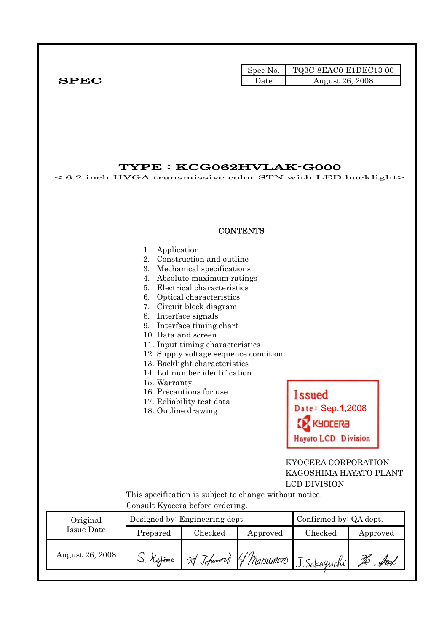|              | Spec No. | TQ3C-8EAC0-E1DEC13-00 |
|--------------|----------|-----------------------|
| ${\bf SPEC}$ | Date     | August 26, 2008       |

## TYPE : KCG062HVLAK-G000

 $< 6.2$  inch HVGA transmissive color STN with LED backlight>

## $C$

|                   |                                                                                                                                             |                                                                                                                                                                                                                                                                                                                                                                                                                           | <b>CONTENTS</b>                                         |                                                                                                                                             |          |
|-------------------|---------------------------------------------------------------------------------------------------------------------------------------------|---------------------------------------------------------------------------------------------------------------------------------------------------------------------------------------------------------------------------------------------------------------------------------------------------------------------------------------------------------------------------------------------------------------------------|---------------------------------------------------------|---------------------------------------------------------------------------------------------------------------------------------------------|----------|
|                   | Application<br>1.<br>8. Interface signals<br>10. Data and screen<br>15. Warranty<br>18. Outline drawing<br>Consult Kyocera before ordering. | 2. Construction and outline<br>3. Mechanical specifications<br>4. Absolute maximum ratings<br>5. Electrical characteristics<br>6. Optical characteristics<br>7. Circuit block diagram<br>9. Interface timing chart<br>11. Input timing characteristics<br>12. Supply voltage sequence condition<br>13. Backlight characteristics<br>14. Lot number identification<br>16. Precautions for use<br>17. Reliability test data | This specification is subject to change without notice. | Issued<br>Date: Sep.1,2008<br>KYOCERƏ<br><b>Hayato LCD Division</b><br>KYOCERA CORPORATION<br>KAGOSHIMA HAYATO PLANT<br><b>LCD DIVISION</b> |          |
| Original          | Designed by: Engineering dept.                                                                                                              |                                                                                                                                                                                                                                                                                                                                                                                                                           |                                                         | Confirmed by: QA dept.                                                                                                                      |          |
| <b>Issue Date</b> | Prepared                                                                                                                                    | Checked                                                                                                                                                                                                                                                                                                                                                                                                                   | Approved                                                | Checked                                                                                                                                     | Approved |
| August 26, 2008   | S. Kytima                                                                                                                                   |                                                                                                                                                                                                                                                                                                                                                                                                                           | 7d Johnword 4 Matrimoto                                 |                                                                                                                                             | to but   |
|                   |                                                                                                                                             |                                                                                                                                                                                                                                                                                                                                                                                                                           |                                                         |                                                                                                                                             |          |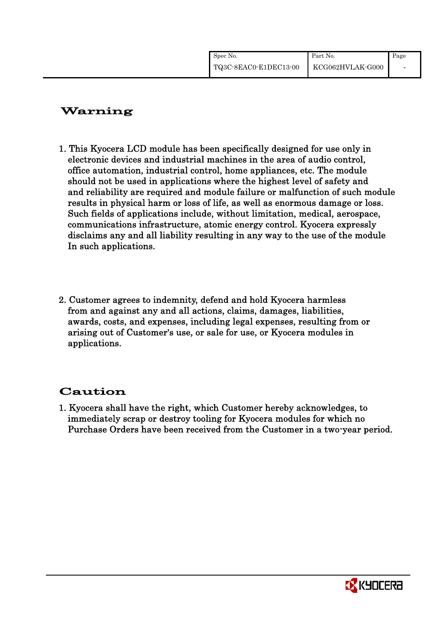| Spec No.              | Part No.         | Page |
|-----------------------|------------------|------|
| TQ3C-8EAC0-E1DEC13-00 | KCG062HVLAK-G000 |      |

# Warning

- 1. This Kyocera LCD module has been specifically designed for use only in electronic devices and industrial machines in the area of audio control, office automation, industrial control, home appliances, etc. The module should not be used in applications where the highest level of safety and and reliability are required and module failure or malfunction of such module results in physical harm or loss of life, as well as enormous damage or loss. Such fields of applications include, without limitation, medical, aerospace, communications infrastructure, atomic energy control. Kyocera expressly disclaims any and all liability resulting in any way to the use of the module In such applications.
- 2. Customer agrees to indemnity, defend and hold Kyocera harmless from and against any and all actions, claims, damages, liabilities, awards, costs, and expenses, including legal expenses, resulting from or arising out of Customer's use, or sale for use, or Kyocera modules in applications.

# Caution

1. Kyocera shall have the right, which Customer hereby acknowledges, to immediately scrap or destroy tooling for Kyocera modules for which no Purchase Orders have been received from the Customer in a two-year period.

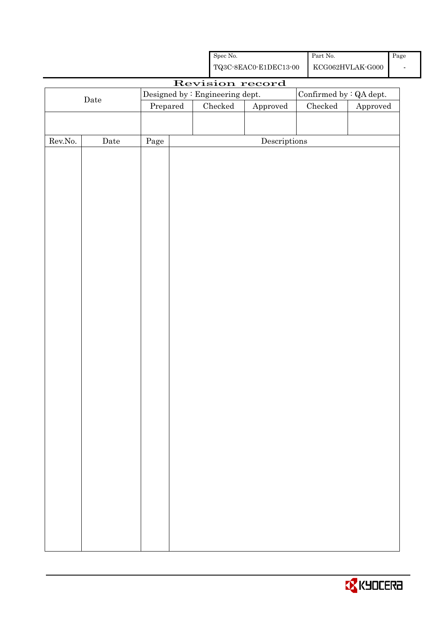|                  |                                                                 |          |  | Spec No. |                                                    | $\operatorname*{Part}% \nolimits_{\mathbb{Z}}\left( \mathbb{Z}^{\Sigma\left( 1\right) }\right)$ No. |                               | Page |
|------------------|-----------------------------------------------------------------|----------|--|----------|----------------------------------------------------|-----------------------------------------------------------------------------------------------------|-------------------------------|------|
|                  |                                                                 |          |  |          | ${\bf TQ3C\text{-}8EAC0\text{-}E1DEC13\text{-}00}$ |                                                                                                     | $\rm KCG062HVLAK\mbox{-}G000$ |      |
|                  |                                                                 |          |  |          | Revision record                                    |                                                                                                     |                               |      |
|                  | Designed by : Engineering dept.<br>$\rm{Date}$<br>$\rm Checked$ |          |  |          | Confirmed by : QA dept.                            |                                                                                                     |                               |      |
|                  |                                                                 | Prepared |  |          | Approved                                           | $\rm Checked$                                                                                       | ${\Large\bf Approved}$        |      |
|                  |                                                                 |          |  |          |                                                    |                                                                                                     |                               |      |
| ${\rm Rev. No.}$ | $\rm{Date}$                                                     | Page     |  |          | $\label{eq:2} \textbf{Descriptions}$               |                                                                                                     |                               |      |
|                  |                                                                 |          |  |          |                                                    |                                                                                                     |                               |      |
|                  |                                                                 |          |  |          |                                                    |                                                                                                     |                               |      |
|                  |                                                                 |          |  |          |                                                    |                                                                                                     |                               |      |
|                  |                                                                 |          |  |          |                                                    |                                                                                                     |                               |      |
|                  |                                                                 |          |  |          |                                                    |                                                                                                     |                               |      |
|                  |                                                                 |          |  |          |                                                    |                                                                                                     |                               |      |
|                  |                                                                 |          |  |          |                                                    |                                                                                                     |                               |      |
|                  |                                                                 |          |  |          |                                                    |                                                                                                     |                               |      |
|                  |                                                                 |          |  |          |                                                    |                                                                                                     |                               |      |
|                  |                                                                 |          |  |          |                                                    |                                                                                                     |                               |      |
|                  |                                                                 |          |  |          |                                                    |                                                                                                     |                               |      |
|                  |                                                                 |          |  |          |                                                    |                                                                                                     |                               |      |
|                  |                                                                 |          |  |          |                                                    |                                                                                                     |                               |      |
|                  |                                                                 |          |  |          |                                                    |                                                                                                     |                               |      |
|                  |                                                                 |          |  |          |                                                    |                                                                                                     |                               |      |
|                  |                                                                 |          |  |          |                                                    |                                                                                                     |                               |      |
|                  |                                                                 |          |  |          |                                                    |                                                                                                     |                               |      |
|                  |                                                                 |          |  |          |                                                    |                                                                                                     |                               |      |
|                  |                                                                 |          |  |          |                                                    |                                                                                                     |                               |      |
|                  |                                                                 |          |  |          |                                                    |                                                                                                     |                               |      |
|                  |                                                                 |          |  |          |                                                    |                                                                                                     |                               |      |
|                  |                                                                 |          |  |          |                                                    |                                                                                                     |                               |      |
|                  |                                                                 |          |  |          |                                                    |                                                                                                     |                               |      |
|                  |                                                                 |          |  |          |                                                    |                                                                                                     |                               |      |
|                  |                                                                 |          |  |          |                                                    |                                                                                                     |                               |      |
|                  |                                                                 |          |  |          |                                                    |                                                                                                     |                               |      |
|                  |                                                                 |          |  |          |                                                    |                                                                                                     |                               |      |
|                  |                                                                 |          |  |          |                                                    |                                                                                                     |                               |      |
|                  |                                                                 |          |  |          |                                                    |                                                                                                     |                               |      |
|                  |                                                                 |          |  |          |                                                    |                                                                                                     |                               |      |
|                  |                                                                 |          |  |          |                                                    |                                                                                                     |                               |      |
|                  |                                                                 |          |  |          |                                                    |                                                                                                     |                               |      |

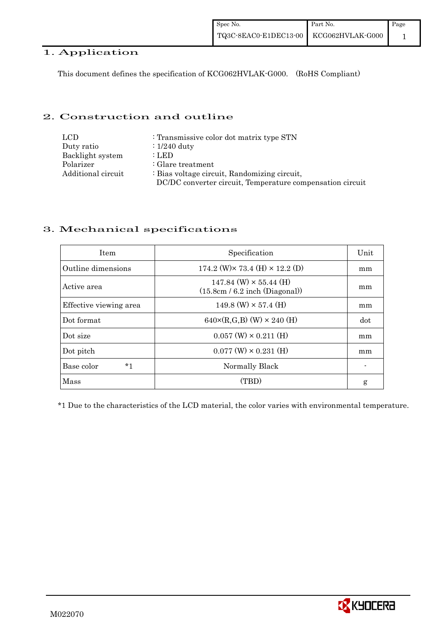### 1. Application

This document defines the specification of KCG062HVLAK-G000. (RoHS Compliant)

#### 2. Construction and outline

| LCD.               | : Transmissive color dot matrix type STN                  |
|--------------------|-----------------------------------------------------------|
| Duty ratio         | $\therefore$ 1/240 duty                                   |
| Backlight system   | : LED                                                     |
| Polarizer          | $\therefore$ Glare treatment                              |
| Additional circuit | : Bias voltage circuit, Randomizing circuit,              |
|                    | DC/DC converter circuit, Temperature compensation circuit |

## 3. Mechanical specifications

| <b>Item</b>            | Specification                                                         | Unit |
|------------------------|-----------------------------------------------------------------------|------|
| Outline dimensions     | $174.2$ (W) $\times$ 73.4 (H) $\times$ 12.2 (D)                       | mm   |
| Active area            | $147.84$ (W) $\times$ 55.44 (H)<br>$(15.8cm / 6.2$ inch $(Diagonal))$ | mm   |
| Effective viewing area | $149.8$ (W) $\times$ 57.4 (H)                                         | mm   |
| Dot format             | $640 \times (R,G,B)$ (W) $\times 240$ (H)                             | dot  |
| Dot size               | $0.057$ (W) $\times$ 0.211 (H)                                        | mm   |
| Dot pitch              | $0.077$ (W) $\times$ 0.231 (H)                                        | mm   |
| Base color<br>$*_{1}$  | Normally Black                                                        |      |
| Mass                   | (TBD)                                                                 | g    |

\*1 Due to the characteristics of the LCD material, the color varies with environmental temperature.

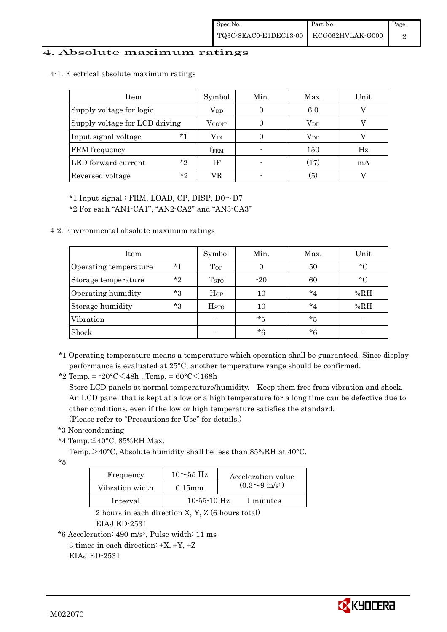#### 4. Absolute maximum ratings

4-1. Electrical absolute maximum ratings

| Item                           | Symbol       | Min. | Max.              | Unit |
|--------------------------------|--------------|------|-------------------|------|
| Supply voltage for logic       | $\rm V_{DD}$ |      | 6.0               |      |
| Supply voltage for LCD driving | <b>VCONT</b> |      | $\rm V_{DD}$      |      |
| $*1$<br>Input signal voltage   | $V_{IN}$     |      | $\rm V_{DD}$      |      |
| FRM frequency                  | <b>fFRM</b>  |      | 150               | Hz   |
| $*_{2}$<br>LED forward current | ΙF           |      | (17)              | mA   |
| $*_{2}$<br>Reversed voltage    | VR           |      | $\left( 5\right)$ |      |

\*1 Input signal : FRM, LOAD, CP, DISP, D0~D7

\*2 For each "AN1-CA1", "AN2-CA2" and "AN3-CA3"

4-2. Environmental absolute maximum ratings

| Item                  |       | Symbol                  | Min.     | Max.    | Unit        |
|-----------------------|-------|-------------------------|----------|---------|-------------|
| Operating temperature | $*1$  | Top                     | $\theta$ | 50      | $^{\circ}C$ |
| Storage temperature   | $*$ ? | <b>T</b> <sub>STO</sub> | $-20$    | 60      | $^{\circ}C$ |
| Operating humidity    | $*3$  | $H_{OP}$                | 10       | $*_{4}$ | %RH         |
| Storage humidity      | $*3$  | H <sub>STO</sub>        | 10       | $*_{4}$ | %RH         |
| Vibration             |       | $\blacksquare$          | *5       | $*5$    |             |
| Shock                 |       |                         | *6       | $*6$    |             |

\*1 Operating temperature means a temperature which operation shall be guaranteed. Since display performance is evaluated at 25°C, another temperature range should be confirmed.

\*2 Temp. = -20°C<48h , Temp. = 60°C<168h

 Store LCD panels at normal temperature/humidity. Keep them free from vibration and shock. An LCD panel that is kept at a low or a high temperature for a long time can be defective due to other conditions, even if the low or high temperature satisfies the standard. (Please refer to "Precautions for Use" for details.)

\*3 Non-condensing

\*4 Temp.≦40°C, 85%RH Max.

Temp. >40°C, Absolute humidity shall be less than 85%RH at 40°C.

\*5

| Frequency       | $10\sim$ 55 Hz    | Acceleration value           |
|-----------------|-------------------|------------------------------|
| Vibration width | $0.15$ m m        | $(0.3 \sim 9 \text{ m/s}^2)$ |
| Interval        | $10 - 55 - 10$ Hz | 1 minutes                    |

 2 hours in each direction X, Y, Z (6 hours total) EIAJ ED-2531

\*6 Acceleration: 490 m/s2, Pulse width: 11 ms

3 times in each direction:  $\pm X$ ,  $\pm Y$ ,  $\pm Z$ EIAJ ED-2531

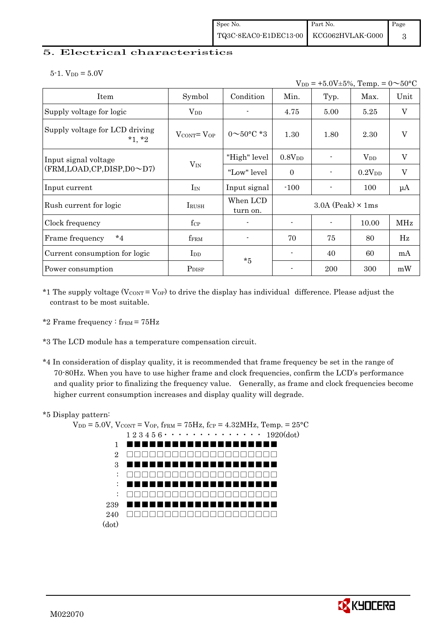#### 5. Electrical characteristics

 $5-1.$  V<sub>DD</sub> =  $5.0V$ 

|                                            | $V_{DD}$ = +5.0V±5%, Temp. = 0 $\sim$ 50°C |                          |                          |                            |              |                           |  |
|--------------------------------------------|--------------------------------------------|--------------------------|--------------------------|----------------------------|--------------|---------------------------|--|
| Item                                       | Symbol                                     | Condition                | Min.                     | Typ.                       | Max.         | Unit                      |  |
| Supply voltage for logic                   | $\rm V_{DD}$                               |                          | 4.75                     | 5.00                       | 5.25         | $\boldsymbol{\mathrm{V}}$ |  |
| Supply voltage for LCD driving<br>$*1, *2$ | $V_{\text{CONT}} = V_{\text{OP}}$          | $0 \sim 50^{\circ}$ C *3 | 1.30                     | 1.80                       | 2.30         | V                         |  |
| Input signal voltage                       |                                            | "High" level             | 0.8V <sub>DD</sub>       |                            | $\rm V_{DD}$ | $\boldsymbol{\mathrm{V}}$ |  |
| (FRM,LOAD,CP,DISP,D0~D7)                   | $V_{IN}$                                   | "Low" level              | $\Omega$                 |                            | $0.2V_{DD}$  | $\boldsymbol{\mathrm{V}}$ |  |
| Input current                              | $I_{IN}$                                   | Input signal             | $-100$                   |                            | 100          | $\mu A$                   |  |
| Rush current for logic                     | <b>IRUSH</b>                               | When LCD<br>turn on.     |                          | $3.0A$ (Peak) $\times$ 1ms |              |                           |  |
| Clock frequency                            | $f_{\rm CP}$                               |                          | $\overline{\phantom{a}}$ | $\overline{a}$             | 10.00        | MHz                       |  |
| $*_{4}$<br>Frame frequency                 | fFRM                                       |                          | 70                       | 75                         | 80           | Hz                        |  |
| Current consumption for logic              | $\rm{I}_{DD}$                              | $*5$                     |                          | 40                         | 60           | mA                        |  |
| Power consumption                          | P <sub>DISP</sub>                          |                          |                          | 200                        | 300          | mW                        |  |

- \*1 The supply voltage ( $V_{\text{CONT}} = V_{\text{OP}}$ ) to drive the display has individual difference. Please adjust the contrast to be most suitable.
- \*2 Frame frequency :  $f_{\text{FRM}} = 75 \text{Hz}$
- \*3 The LCD module has a temperature compensation circuit.
- \*4 In consideration of display quality, it is recommended that frame frequency be set in the range of 70-80Hz. When you have to use higher frame and clock frequencies, confirm the LCD's performance and quality prior to finalizing the frequency value. Generally, as frame and clock frequencies become higher current consumption increases and display quality will degrade.

#### \*5 Display pattern:



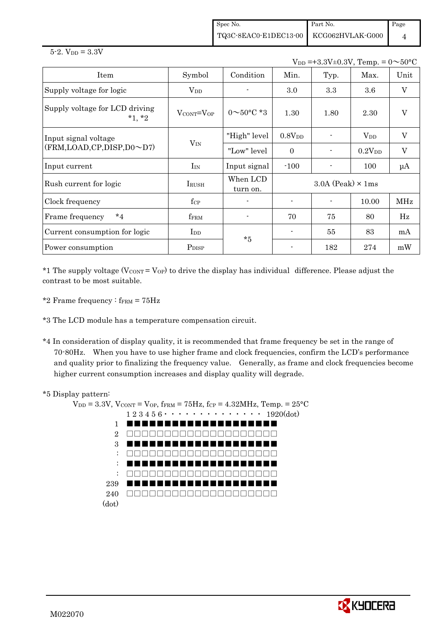Spec No. TQ3C-8EAC0-E1DEC13-00 Part No. KCG062HVLAK-G000 Page 4

|  | $5-2.$ V <sub>DD</sub> = $3.3V$ |  |
|--|---------------------------------|--|
|--|---------------------------------|--|

 $V_{DD} = +3.3V \pm 0.3V$  Temp. =  $0 \sim 50^{\circ}$ C

| Item                                       | Symbol                            | Condition                | Min.               | Typ.                       | Max.               | Unit           |
|--------------------------------------------|-----------------------------------|--------------------------|--------------------|----------------------------|--------------------|----------------|
| Supply voltage for logic                   | $\rm V_{DD}$                      |                          | $3.0\,$            | 3.3                        | $3.6\,$            | $\mathbf{V}$   |
| Supply voltage for LCD driving<br>$*1, *2$ | $V_{\text{CONT}} = V_{\text{OP}}$ | $0 \sim 50^{\circ}$ C *3 | 1.30               | 1.80                       | 2.30               | $\overline{V}$ |
| Input signal voltage                       |                                   | "High" level             | 0.8V <sub>DD</sub> |                            | $V_{DD}$           | $\mathbf V$    |
| (FRM,LOAD,CP,DISP,D0~D7)                   | $V_{IN}$                          | "Low" level              | $\Omega$           |                            | 0.2V <sub>DD</sub> | $\mathbf V$    |
| Input current                              | $I_{IN}$                          | Input signal             | $-100$             |                            | 100                | μA             |
| Rush current for logic                     | <b>I</b> RUSH                     | When LCD<br>turn on.     |                    | $3.0A$ (Peak) $\times$ 1ms |                    |                |
| Clock frequency                            | $f_{\rm CP}$                      |                          |                    |                            | 10.00              | MHz            |
| $*_{4}$<br>Frame frequency                 | ${\rm f_{FRM}}$                   | $\overline{a}$           | 70                 | 75                         | 80                 | Hz             |
| Current consumption for logic              | $_{\rm{LDD}}$                     | $*5$                     | $\blacksquare$     | 55                         | 83                 | mA             |
| Power consumption                          | P <sub>DISP</sub>                 |                          |                    | 182                        | 274                | mW             |

 $*1$  The supply voltage (V $_{\text{CONT}} = V_{\text{OP}}$ ) to drive the display has individual difference. Please adjust the contrast to be most suitable.

\*2 Frame frequency :  $f_{\text{FRM}} = 75 \text{Hz}$ 

\*3 The LCD module has a temperature compensation circuit.

\*4 In consideration of display quality, it is recommended that frame frequency be set in the range of 70-80Hz. When you have to use higher frame and clock frequencies, confirm the LCD's performance and quality prior to finalizing the frequency value. Generally, as frame and clock frequencies become higher current consumption increases and display quality will degrade.

#### \*5 Display pattern:



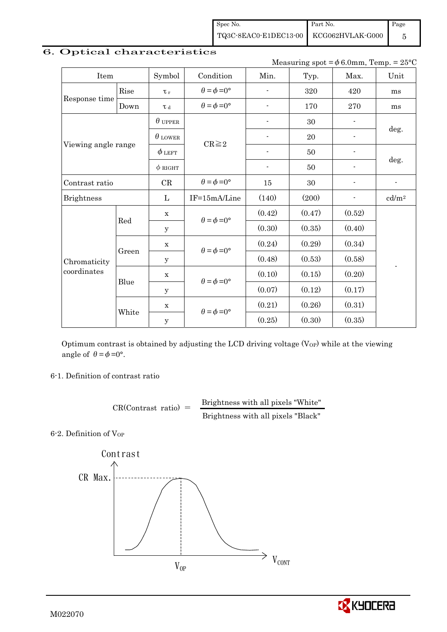Spec No. TQ3C-8EAC0-E1DEC13-00 Part No. KCG062HVLAK-G000 Page 5

|                     |       |                |                             |                          |        | $m$ easuring spot $-\varphi$ oroman, Temp. $-2\vartheta$ |                          |
|---------------------|-------|----------------|-----------------------------|--------------------------|--------|----------------------------------------------------------|--------------------------|
| Item                |       | Symbol         | Condition                   | Min.                     | Typ.   | Max.                                                     | Unit                     |
| Rise                |       | $\tau_r$       | $\theta = \phi = 0^{\circ}$ |                          | 320    | 420                                                      | ms                       |
| Response time       | Down  | $\tau$ d       | $\theta = \phi = 0^{\circ}$ |                          | 170    | 270                                                      | ms                       |
|                     |       | $\theta$ upper |                             | $\overline{\phantom{a}}$ | 30     |                                                          |                          |
|                     |       | $\theta$ lower | $CR \geq 2$                 | $\overline{\phantom{a}}$ | 20     | $\overline{\phantom{a}}$                                 | deg.                     |
| Viewing angle range |       | $\phi$ left    |                             |                          | 50     |                                                          |                          |
|                     |       | $\phi$ RIGHT   |                             |                          | 50     |                                                          | deg.                     |
| Contrast ratio      |       | $\mathrm{CR}$  | $\theta = \phi = 0^{\circ}$ | $15\,$                   | 30     | $\overline{\phantom{a}}$                                 | $\overline{\phantom{a}}$ |
| <b>Brightness</b>   |       | $\mathbf{L}$   | IF=15mA/Line                | (140)                    | (200)  | $\overline{\phantom{a}}$                                 | cd/m <sup>2</sup>        |
|                     |       | $\mathbf X$    | $\theta = \phi = 0^{\circ}$ | (0.42)                   | (0.47) | (0.52)                                                   |                          |
|                     | Red   | y              |                             | (0.30)                   | (0.35) | (0.40)                                                   |                          |
|                     |       | $\mathbf X$    | $\theta = \phi = 0^{\circ}$ | (0.24)                   | (0.29) | (0.34)                                                   |                          |
| Chromaticity        | Green | $\mathbf y$    |                             | (0.48)                   | (0.53) | (0.58)                                                   |                          |
| coordinates         |       | $\mathbf X$    | $\theta = \phi = 0^{\circ}$ | (0.10)                   | (0.15) | (0.20)                                                   |                          |
|                     | Blue  | $\mathbf y$    |                             | (0.07)                   | (0.12) | (0.17)                                                   |                          |
|                     |       | $\mathbf X$    | $\theta = \phi = 0^{\circ}$ | (0.21)                   | (0.26) | (0.31)                                                   |                          |
|                     | White | $\mathbf y$    |                             | (0.25)                   | (0.30) | (0.35)                                                   |                          |

## 6. Optical characteristics

Measuring spot  $=$   $\phi$  6.0mm, Temp. = 25°C.

Optimum contrast is obtained by adjusting the LCD driving voltage  $(V<sub>OP</sub>)$  while at the viewing angle of  $\theta = \phi = 0^{\circ}$ .

6-1. Definition of contrast ratio

 $CR(Contrast ratio) =$  Brightness with all pixels "White" Brightness with all pixels "Black"

6-2. Definition of VOP



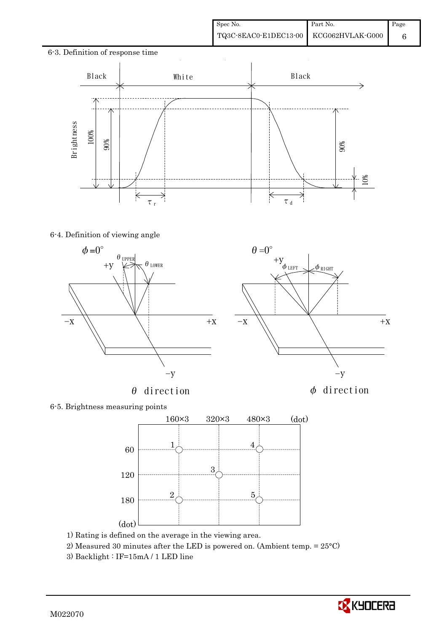# 6-3. Definition of response time Black | White | Black 90% 10%  $\overline{\mathbf{K}}$ ₹  $\tau$ <sub>r</sub>  $\tau$ <sub>d</sub>

#### 6-4. Definition of viewing angle



 $\theta$  direction  $\phi$  direction



6-5. Brightness measuring points



- 1) Rating is defined on the average in the viewing area.
- 2) Measured 30 minutes after the LED is powered on. (Ambient temp. = 25°C)
- 

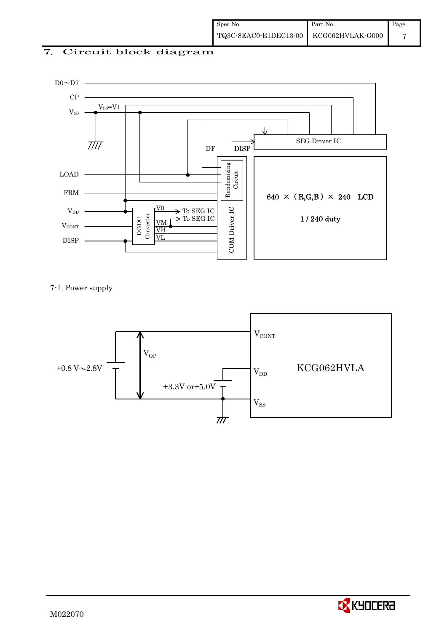## 7. Circuit block diagram



7-1. Power supply



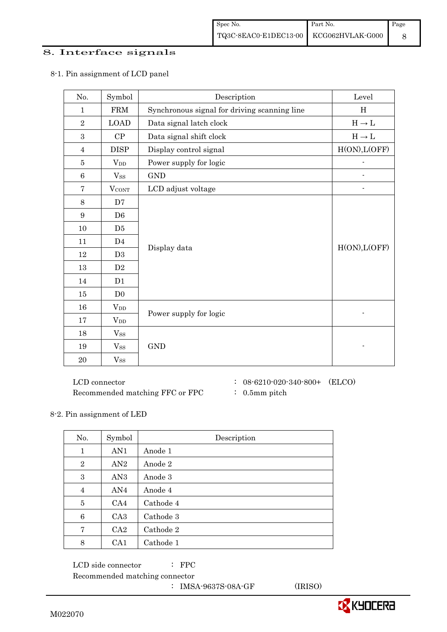#### 8. Interface signals

| No.            | Symbol                 | Description                                  | Level         |
|----------------|------------------------|----------------------------------------------|---------------|
| $\mathbf{1}$   | <b>FRM</b>             | Synchronous signal for driving scanning line | H             |
| $\overline{2}$ | <b>LOAD</b>            | Data signal latch clock                      | $H\to L$      |
| 3              | ${\cal CP}$            | Data signal shift clock                      | $H\to L$      |
| $\overline{4}$ | <b>DISP</b>            | Display control signal                       | H(ON), L(OFF) |
| $\overline{5}$ | <b>V</b> <sub>DD</sub> | Power supply for logic                       |               |
| $\,6$          | $V_{SS}$               | <b>GND</b>                                   |               |
| $\overline{7}$ | <b>VCONT</b>           | LCD adjust voltage                           |               |
| 8              | D7                     |                                              |               |
| 9              | D <sub>6</sub>         |                                              |               |
| 10             | D <sub>5</sub>         |                                              |               |
| 11             | D <sub>4</sub>         |                                              |               |
| 12             | D3                     | Display data                                 | H(ON), L(OFF) |
| 13             | D2                     |                                              |               |
| 14             | D1                     |                                              |               |
| 15             | D <sub>0</sub>         |                                              |               |
| 16             | <b>V</b> <sub>DD</sub> |                                              |               |
| 17             | <b>V</b> <sub>DD</sub> | Power supply for logic                       |               |
| 18             | $V_{SS}$               |                                              |               |
| 19             | $V_{SS}$               | GND                                          |               |
| 20             | $V_{SS}$               |                                              |               |

#### 8-1. Pin assignment of LCD panel

 $\rm LCD~connector ~~:~~08\text{-}6210\text{-}020\text{-}340\text{-}800+~~(ELCO)$ Recommended matching FFC or FPC : 0.5mm pitch

- 
- 

#### 8-2. Pin assignment of LED

| No.              | Symbol          | Description |
|------------------|-----------------|-------------|
| $\mathbf{1}$     | AN1             | Anode 1     |
| $\overline{2}$   | AN2             | Anode 2     |
| $\boldsymbol{3}$ | AN <sub>3</sub> | Anode 3     |
| $\overline{4}$   | AN4             | Anode 4     |
| 5                | CA4             | Cathode 4   |
| 6                | CA <sub>3</sub> | Cathode 3   |
| 7                | CA2             | Cathode 2   |
| 8                | CA1             | Cathode 1   |

 LCD side connector : FPC Recommended matching connector

: IMSA-9637S-08A-GF (IRISO)

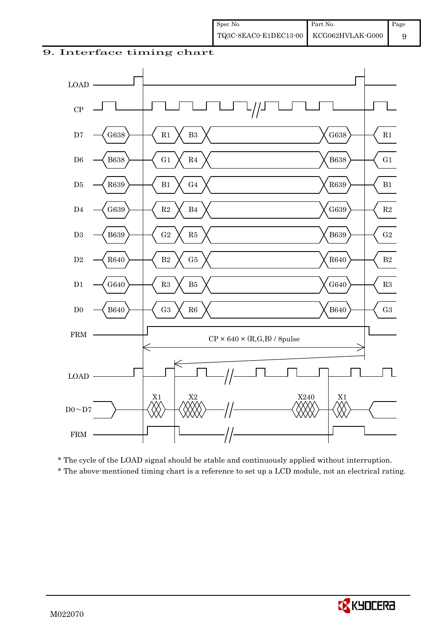9. Interface timing chart



\* The cycle of the LOAD signal should be stable and continuously applied without interruption.

\* The above-mentioned timing chart is a reference to set up a LCD module, not an electrical rating.

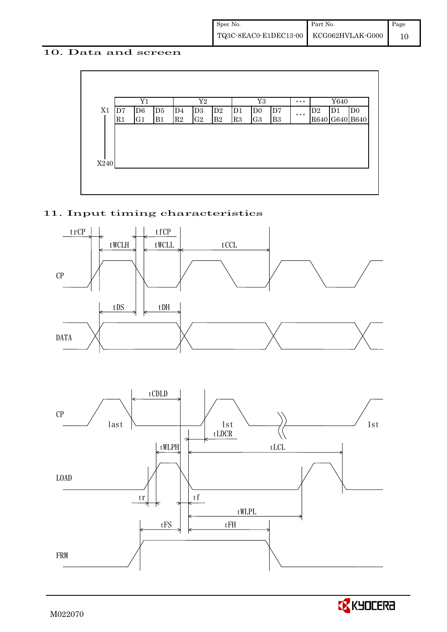#### 10. Data and screen



#### 11. Input timing characteristics



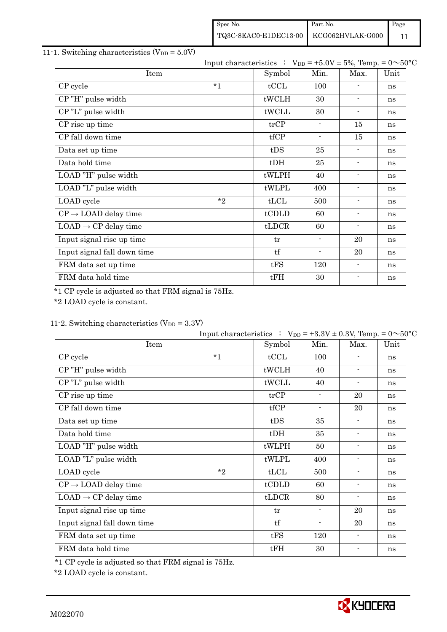| Spec No.                               | Part No. | Page |
|----------------------------------------|----------|------|
| TQ3C-8EAC0-E1DEC13-00 KCG062HVLAK-G000 |          |      |

## 11-1. Switching characteristics  $(V_{DD} = 5.0V)$

|                                  |         | Input characteristics : $V_{DD} = +5.0V \pm 5\%$ , Temp. = $0 \sim 50^{\circ}$ C |                          |                          |      |
|----------------------------------|---------|----------------------------------------------------------------------------------|--------------------------|--------------------------|------|
| Item                             |         | Symbol                                                                           | Min.                     | Max.                     | Unit |
| CP cycle                         | $*_{1}$ | tCCL                                                                             | 100                      | $\overline{\phantom{a}}$ | ns   |
| CP"H" pulse width                |         | tWCLH                                                                            | 30                       | $\blacksquare$           | ns   |
| CP"L" pulse width                |         | tWCLL                                                                            | 30                       | $\blacksquare$           | ns   |
| CP rise up time                  |         | trCP                                                                             | $\overline{\phantom{a}}$ | 15                       | ns   |
| CP fall down time                |         | tfCP                                                                             | $\overline{\phantom{a}}$ | 15                       | ns   |
| Data set up time                 |         | tDS                                                                              | 25                       | $\overline{\phantom{a}}$ | ns   |
| Data hold time                   |         | $t$ DH                                                                           | 25                       | $\overline{\phantom{a}}$ | ns   |
| LOAD "H" pulse width             |         | tWLPH                                                                            | 40                       | $\overline{\phantom{a}}$ | ns   |
| LOAD "L" pulse width             |         | tWLPL                                                                            | 400                      | -                        | ns   |
| LOAD cycle                       | $*_{2}$ | tLCL                                                                             | 500                      | $\blacksquare$           | ns   |
| $CP \rightarrow$ LOAD delay time |         | tCDLD                                                                            | 60                       | $\overline{\phantom{a}}$ | ns   |
| $LOAD \rightarrow CP$ delay time |         | $t\text{LDCR}$                                                                   | 60                       | $\overline{\phantom{a}}$ | ns   |
| Input signal rise up time        |         | tr                                                                               | $\overline{\phantom{a}}$ | 20                       | ns   |
| Input signal fall down time      |         | tf                                                                               | $\overline{\phantom{a}}$ | 20                       | ns   |
| FRM data set up time             |         | tFS                                                                              | 120                      | $\blacksquare$           | ns   |
| FRM data hold time               |         | tFH                                                                              | 30                       | $\overline{\phantom{a}}$ | ns   |

\*1 CP cycle is adjusted so that FRM signal is 75Hz.

\*2 LOAD cycle is constant.

## 11-2. Switching characteristics  $(V_{DD} = 3.3V)$

|                                  | Input characteristics : $V_{DD} = +3.3V \pm 0.3V$ , Temp. = $0 \sim 50^{\circ}$ C |                |                          |                          |      |
|----------------------------------|-----------------------------------------------------------------------------------|----------------|--------------------------|--------------------------|------|
| Item                             |                                                                                   | Symbol         | Min.                     | Max.                     | Unit |
| CP cycle                         | $*1$                                                                              | tCCL           | 100                      |                          | ns   |
| CP"H" pulse width                |                                                                                   | tWCLH          | 40                       | $\overline{\phantom{a}}$ | ns   |
| CP"L" pulse width                |                                                                                   | tWCLL          | 40                       | $\blacksquare$           | ns   |
| CP rise up time                  |                                                                                   | trCP           | $\overline{\phantom{a}}$ | 20                       | ns   |
| CP fall down time                |                                                                                   | tfCP           | $\overline{\phantom{a}}$ | 20                       | ns   |
| Data set up time                 |                                                                                   | tDS            | 35                       | $\overline{\phantom{a}}$ | ns   |
| Data hold time                   |                                                                                   | $t$ DH         | 35                       | $\blacksquare$           | ns   |
| LOAD "H" pulse width             |                                                                                   | tWLPH          | 50                       | $\overline{\phantom{a}}$ | ns   |
| LOAD "L" pulse width             |                                                                                   | tWLPL          | 400                      | $\blacksquare$           | ns   |
| LOAD cycle                       | $*_{2}$                                                                           | tLCL           | 500                      | $\overline{\phantom{a}}$ | ns   |
| $CP \rightarrow$ LOAD delay time |                                                                                   | tCDLD          | 60                       | $\overline{\phantom{a}}$ | ns   |
| $LOAD \rightarrow CP$ delay time |                                                                                   | $t\text{LDCR}$ | 80                       | $\overline{\phantom{a}}$ | ns   |
| Input signal rise up time        |                                                                                   | tr             | $\overline{\phantom{a}}$ | 20                       | ns   |
| Input signal fall down time      |                                                                                   | tf             | $\overline{\phantom{a}}$ | 20                       | ns   |
| FRM data set up time             |                                                                                   | tFS            | 120                      | $\blacksquare$           | ns   |
| FRM data hold time               |                                                                                   | tFH            | 30                       | $\overline{a}$           | ns   |

\*1 CP cycle is adjusted so that FRM signal is 75Hz.

\*2 LOAD cycle is constant.

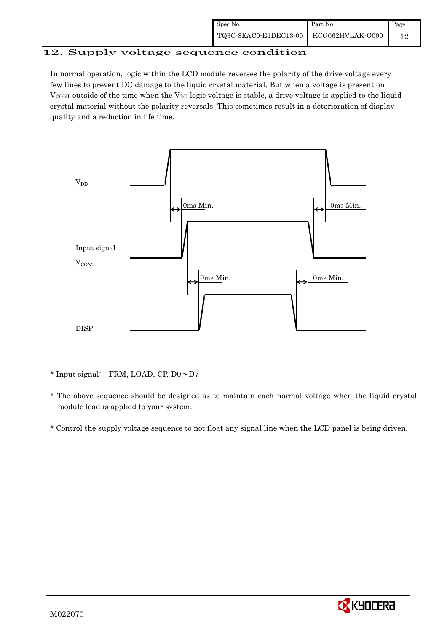#### 12. Supply voltage sequence condition

In normal operation, logic within the LCD module reverses the polarity of the drive voltage every few lines to prevent DC damage to the liquid crystal material. But when a voltage is present on  $V_{\text{CONT}}$  outside of the time when the  $V_{\text{DD}}$  logic voltage is stable, a drive voltage is applied to the liquid crystal material without the polarity reversals. This sometimes result in a deterioration of display quality and a reduction in life time.



\* Input signal: FRM, LOAD, CP, D0~D7

- \* The above sequence should be designed as to maintain each normal voltage when the liquid crystal module load is applied to your system.
- \* Control the supply voltage sequence to not float any signal line when the LCD panel is being driven.

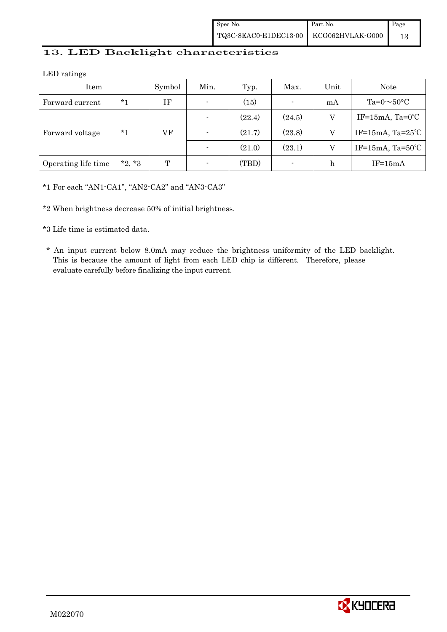| Spec No.                               | Part No. | Page |
|----------------------------------------|----------|------|
| TQ3C-8EAC0-E1DEC13-00 KCG062HVLAK-G000 |          |      |

## 13. LED Backlight characteristics

LED ratings

| Item                |          | Symbol | Min.                     | Typ.   | Max.   | Unit             | Note                        |
|---------------------|----------|--------|--------------------------|--------|--------|------------------|-----------------------------|
| Forward current     | $*1$     | ΙF     | $\blacksquare$           | (15)   |        | mA               | Ta= $0 \sim 50$ °C          |
|                     | *1       |        | $\blacksquare$           | (22.4) | (24.5) | V                | IF=15mA, $Ta=0^{\circ}C$    |
| Forward voltage     |          | VF     | $\blacksquare$           | (21.7) | (23.8) | V                | IF=15mA, Ta= $25^{\circ}$ C |
|                     |          |        | $\overline{\phantom{a}}$ | (21.0) | (23.1) | V                | IF=15mA, $Ta=50^{\circ}C$   |
| Operating life time | $*2, *3$ | T      | $\blacksquare$           | (TBD)  |        | $\boldsymbol{h}$ | $IF=15mA$                   |

\*1 For each "AN1-CA1", "AN2-CA2" and "AN3-CA3"

\*2 When brightness decrease 50% of initial brightness.

\*3 Life time is estimated data.

 \* An input current below 8.0mA may reduce the brightness uniformity of the LED backlight. This is because the amount of light from each LED chip is different. Therefore, please evaluate carefully before finalizing the input current.

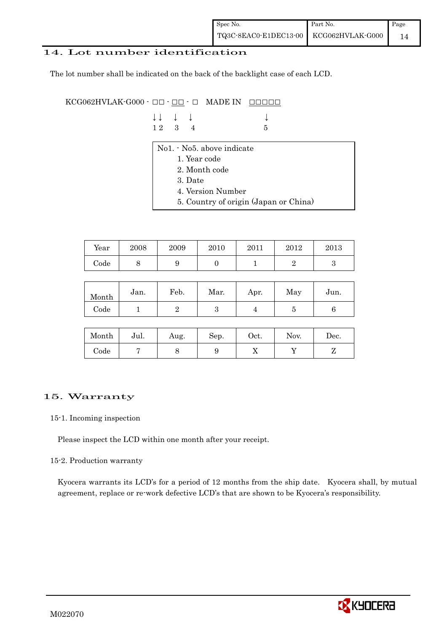#### 14. Lot number identification

The lot number shall be indicated on the back of the backlight case of each LCD.

KCG062HVLAK-G000  $\cdot$  OO  $\cdot$  OO  $\cdot$  O MADE IN OOOOO

| $\downarrow \downarrow \quad \downarrow \quad \downarrow$ |  | $\downarrow$    |
|-----------------------------------------------------------|--|-----------------|
| 12 3 4                                                    |  | $5\overline{5}$ |

- No1. No5. above indicate
	- 1. Year code
	- 2. Month code
	- 3. Date
	- 4. Version Number
	- 5. Country of origin (Japan or China)

| Year | 2008 | 2009 | 2010 | 2011 | 2012 | 2013 |
|------|------|------|------|------|------|------|
| Code | ັ    |      |      |      |      |      |

| Month | Jan. | Feb. | Mar. | Apr. | May | Jun. |
|-------|------|------|------|------|-----|------|
| Code  |      |      |      |      |     |      |

| Month | Jul. | Aug. | Sep. | Oct. | Nov. | Dec. |
|-------|------|------|------|------|------|------|
| Code  |      |      | ັ    | ∡⊾   |      |      |

## 15. Warranty

#### 15-1. Incoming inspection

Please inspect the LCD within one month after your receipt.

#### 15-2. Production warranty

 Kyocera warrants its LCD's for a period of 12 months from the ship date. Kyocera shall, by mutual agreement, replace or re-work defective LCD's that are shown to be Kyocera's responsibility.

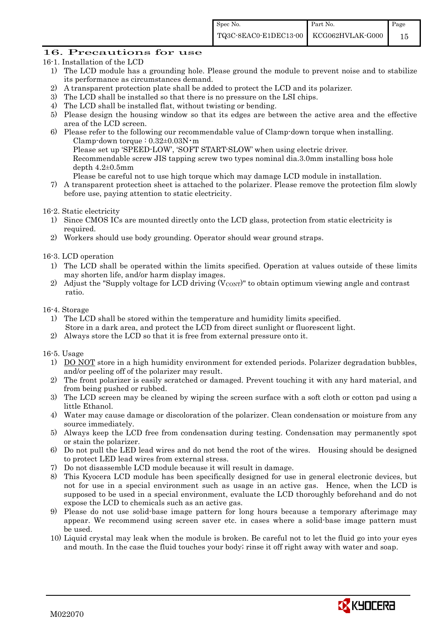### 16. Precautions for use

- 16-1. Installation of the LCD
	- 1) The LCD module has a grounding hole. Please ground the module to prevent noise and to stabilize its performance as circumstances demand.
	- 2) A transparent protection plate shall be added to protect the LCD and its polarizer.
	- 3) The LCD shall be installed so that there is no pressure on the LSI chips.
	- 4) The LCD shall be installed flat, without twisting or bending.
	- 5) Please design the housing window so that its edges are between the active area and the effective area of the LCD screen.
	- 6) Please refer to the following our recommendable value of Clamp-down torque when installing. Clamp-down torque :  $0.32\pm0.03$ N·m Please set up 'SPEED-LOW', 'SOFT START-SLOW' when using electric driver. Recommendable screw JIS tapping screw two types nominal dia.3.0mm installing boss hole depth 4.2±0.5mm Please be careful not to use high torque which may damage LCD module in installation.
	- 7) A transparent protection sheet is attached to the polarizer. Please remove the protection film slowly before use, paying attention to static electricity.

16-2. Static electricity

- 1) Since CMOS ICs are mounted directly onto the LCD glass, protection from static electricity is required.
- 2) Workers should use body grounding. Operator should wear ground straps.

16-3. LCD operation

- 1) The LCD shall be operated within the limits specified. Operation at values outside of these limits may shorten life, and/or harm display images.
- 2) Adjust the "Supply voltage for LCD driving  $(V_{\text{CONT}})$ " to obtain optimum viewing angle and contrast ratio.

16-4. Storage

- 1) The LCD shall be stored within the temperature and humidity limits specified. Store in a dark area, and protect the LCD from direct sunlight or fluorescent light.
- 2) Always store the LCD so that it is free from external pressure onto it.

16-5. Usage

- 1) DO NOT store in a high humidity environment for extended periods. Polarizer degradation bubbles, and/or peeling off of the polarizer may result.
- 2) The front polarizer is easily scratched or damaged. Prevent touching it with any hard material, and from being pushed or rubbed.
- 3) The LCD screen may be cleaned by wiping the screen surface with a soft cloth or cotton pad using a little Ethanol.
- 4) Water may cause damage or discoloration of the polarizer. Clean condensation or moisture from any source immediately.
- 5) Always keep the LCD free from condensation during testing. Condensation may permanently spot or stain the polarizer.
- 6) Do not pull the LED lead wires and do not bend the root of the wires. Housing should be designed to protect LED lead wires from external stress.
- 7) Do not disassemble LCD module because it will result in damage.
- 8) This Kyocera LCD module has been specifically designed for use in general electronic devices, but not for use in a special environment such as usage in an active gas. Hence, when the LCD is supposed to be used in a special environment, evaluate the LCD thoroughly beforehand and do not expose the LCD to chemicals such as an active gas.
- 9) Please do not use solid-base image pattern for long hours because a temporary afterimage may appear. We recommend using screen saver etc. in cases where a solid-base image pattern must be used.
- 10) Liquid crystal may leak when the module is broken. Be careful not to let the fluid go into your eyes and mouth. In the case the fluid touches your body; rinse it off right away with water and soap.

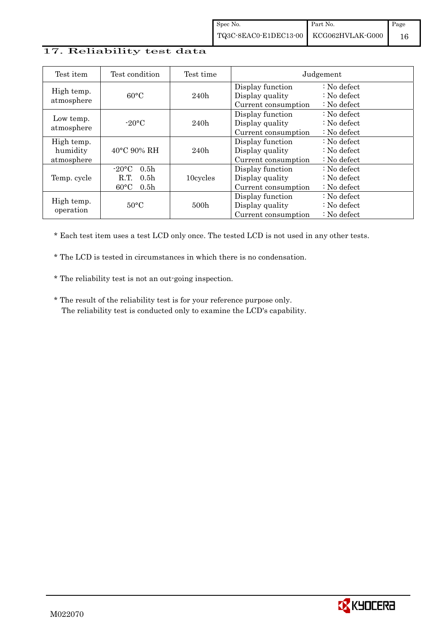## 17. Reliability test data

| Test item                            | Test condition                                                                                 | Test time        | Judgement                                                  |                                                                            |  |
|--------------------------------------|------------------------------------------------------------------------------------------------|------------------|------------------------------------------------------------|----------------------------------------------------------------------------|--|
| High temp.<br>atmosphere             | $60^{\circ}$ C                                                                                 | 240h             | Display function<br>Display quality<br>Current consumption | $\therefore$ No defect<br>$\therefore$ No defect<br>$\therefore$ No defect |  |
| Low temp.<br>atmosphere              | $-20\textdegree C$                                                                             | 240h             | Display function<br>Display quality<br>Current consumption | $\therefore$ No defect<br>: No defect<br>$\therefore$ No defect            |  |
| High temp.<br>humidity<br>atmosphere | $40^{\circ}$ C 90% RH                                                                          | 240h             | Display function<br>Display quality<br>Current consumption | : No defect<br>$\therefore$ No defect<br>$\therefore$ No defect            |  |
| Temp. cycle                          | $-20$ °C<br>0.5 <sub>h</sub><br>0.5 <sub>h</sub><br>R.T.<br>$60^{\circ}$ C<br>0.5 <sub>h</sub> | 10cycles         | Display function<br>Display quality<br>Current consumption | : No defect<br>$\therefore$ No defect<br>$\therefore$ No defect            |  |
| High temp.<br>operation              | $50^{\circ}$ C                                                                                 | 500 <sub>h</sub> | Display function<br>Display quality<br>Current consumption | $\therefore$ No defect<br>$\therefore$ No defect<br>$\therefore$ No defect |  |

\* Each test item uses a test LCD only once. The tested LCD is not used in any other tests.

\* The LCD is tested in circumstances in which there is no condensation.

\* The reliability test is not an out-going inspection.

 \* The result of the reliability test is for your reference purpose only. The reliability test is conducted only to examine the LCD's capability.

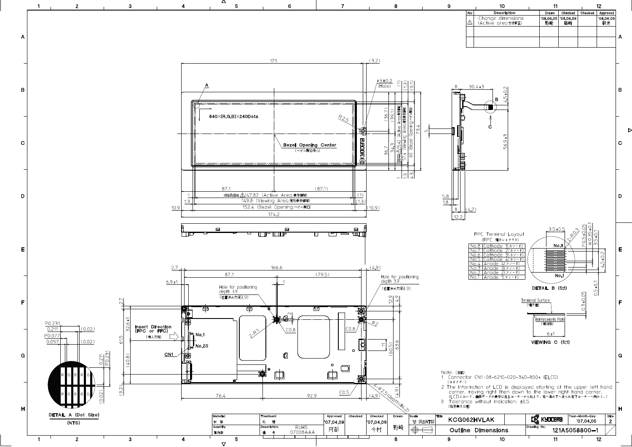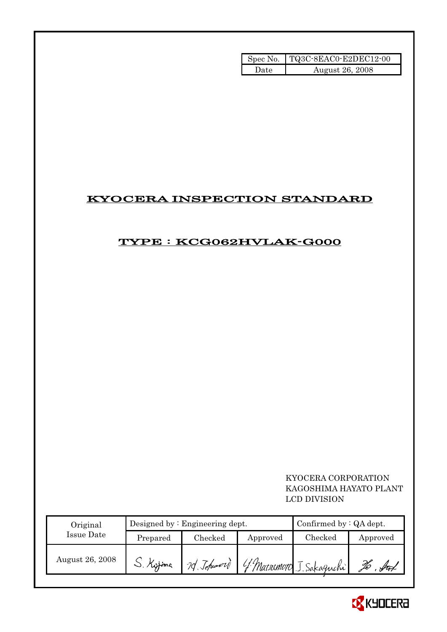|      | Spec No. TQ3C-8EAC0-E2DEC12-00 |
|------|--------------------------------|
| Date | August 26, 2008                |

## KYOCERA INSPECTION STANDARD

## TYPE : KCG062HVLAK-G000

## KYOCERA CORPORATION KAGOSHIMA HAYATO PLANT LCD DIVISION

| Original        |          | Designed by $:$ Engineering dept. | Confirmed by $:QA$ dept. |         |          |
|-----------------|----------|-----------------------------------|--------------------------|---------|----------|
| Issue Date      | Prepared | Checked                           | Approved                 | Checked | Approved |
| August 26, 2008 | S. Kyjme | 20 Johnson                        |                          |         |          |

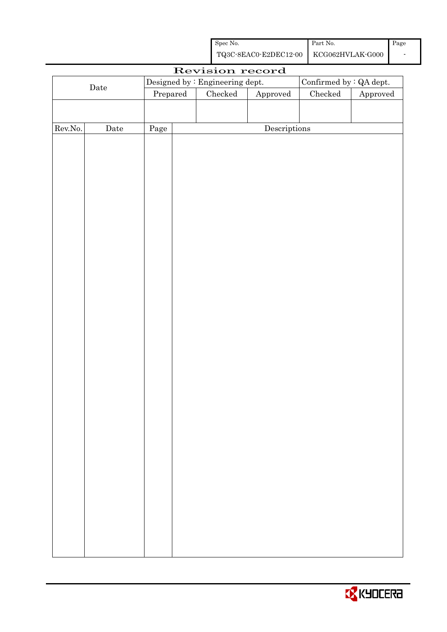| Spec No.                               | Part No. | $\Box$ Page |
|----------------------------------------|----------|-------------|
| TQ3C-8EAC0-E2DEC12-00 KCG062HVLAK-G000 |          |             |

|         |                      |          | Revision record                 |                        |                         |          |
|---------|----------------------|----------|---------------------------------|------------------------|-------------------------|----------|
|         |                      |          | Designed by : Engineering dept. |                        | Confirmed by : QA dept. |          |
|         | $\rm{\textbf{Date}}$ | Prepared | Checked                         | ${\Large\bf Approved}$ | Checked                 | Approved |
|         |                      |          |                                 |                        |                         |          |
|         |                      |          |                                 |                        |                         |          |
| Rev.No. | $\rm{\textbf{Date}}$ | Page     |                                 | Descriptions           |                         |          |
|         |                      |          |                                 |                        |                         |          |
|         |                      |          |                                 |                        |                         |          |
|         |                      |          |                                 |                        |                         |          |
|         |                      |          |                                 |                        |                         |          |
|         |                      |          |                                 |                        |                         |          |
|         |                      |          |                                 |                        |                         |          |
|         |                      |          |                                 |                        |                         |          |
|         |                      |          |                                 |                        |                         |          |
|         |                      |          |                                 |                        |                         |          |
|         |                      |          |                                 |                        |                         |          |
|         |                      |          |                                 |                        |                         |          |
|         |                      |          |                                 |                        |                         |          |
|         |                      |          |                                 |                        |                         |          |
|         |                      |          |                                 |                        |                         |          |
|         |                      |          |                                 |                        |                         |          |
|         |                      |          |                                 |                        |                         |          |
|         |                      |          |                                 |                        |                         |          |
|         |                      |          |                                 |                        |                         |          |
|         |                      |          |                                 |                        |                         |          |
|         |                      |          |                                 |                        |                         |          |
|         |                      |          |                                 |                        |                         |          |
|         |                      |          |                                 |                        |                         |          |
|         |                      |          |                                 |                        |                         |          |
|         |                      |          |                                 |                        |                         |          |
|         |                      |          |                                 |                        |                         |          |
|         |                      |          |                                 |                        |                         |          |
|         |                      |          |                                 |                        |                         |          |
|         |                      |          |                                 |                        |                         |          |
|         |                      |          |                                 |                        |                         |          |
|         |                      |          |                                 |                        |                         |          |
|         |                      |          |                                 |                        |                         |          |
|         |                      |          |                                 |                        |                         |          |
|         |                      |          |                                 |                        |                         |          |
|         |                      |          |                                 |                        |                         |          |
|         |                      |          |                                 |                        |                         |          |

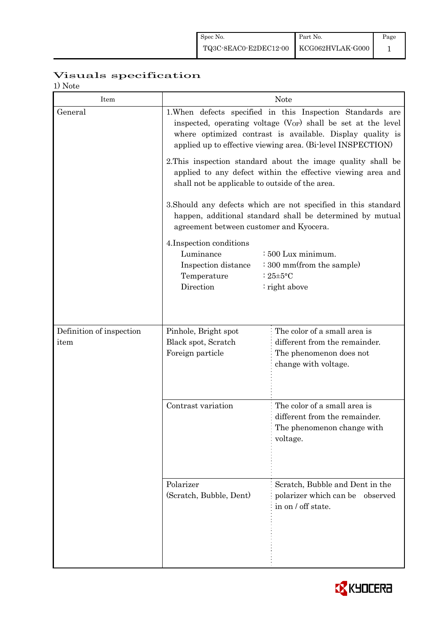# Visuals specification

1) Note

| Item                     | <b>Note</b>                                                                                                                                                                                                                                                                                                                                                                                                                                           |                                                                                                         |  |  |  |  |
|--------------------------|-------------------------------------------------------------------------------------------------------------------------------------------------------------------------------------------------------------------------------------------------------------------------------------------------------------------------------------------------------------------------------------------------------------------------------------------------------|---------------------------------------------------------------------------------------------------------|--|--|--|--|
| General                  | 1. When defects specified in this Inspection Standards are<br>inspected, operating voltage (V <sub>OP</sub> ) shall be set at the level<br>where optimized contrast is available. Display quality is<br>applied up to effective viewing area. (Bi-level INSPECTION)<br>2. This inspection standard about the image quality shall be<br>applied to any defect within the effective viewing area and<br>shall not be applicable to outside of the area. |                                                                                                         |  |  |  |  |
|                          |                                                                                                                                                                                                                                                                                                                                                                                                                                                       |                                                                                                         |  |  |  |  |
|                          | 3. Should any defects which are not specified in this standard<br>happen, additional standard shall be determined by mutual<br>agreement between customer and Kyocera.<br>4. Inspection conditions<br>Luminance<br>: 500 Lux minimum.<br>: 300 mm(from the sample)<br>Inspection distance<br>Temperature<br>: $25 \pm 5$ °C<br>Direction<br>: right above                                                                                             |                                                                                                         |  |  |  |  |
|                          |                                                                                                                                                                                                                                                                                                                                                                                                                                                       |                                                                                                         |  |  |  |  |
| Definition of inspection | Pinhole, Bright spot                                                                                                                                                                                                                                                                                                                                                                                                                                  | The color of a small area is                                                                            |  |  |  |  |
| item                     | Black spot, Scratch<br>Foreign particle                                                                                                                                                                                                                                                                                                                                                                                                               | different from the remainder.<br>The phenomenon does not<br>change with voltage.                        |  |  |  |  |
|                          | Contrast variation                                                                                                                                                                                                                                                                                                                                                                                                                                    | The color of a small area is<br>different from the remainder.<br>The phenomenon change with<br>voltage. |  |  |  |  |
|                          | Polarizer<br>(Scratch, Bubble, Dent)                                                                                                                                                                                                                                                                                                                                                                                                                  | Scratch, Bubble and Dent in the<br>polarizer which can be observed<br>in on / off state.                |  |  |  |  |

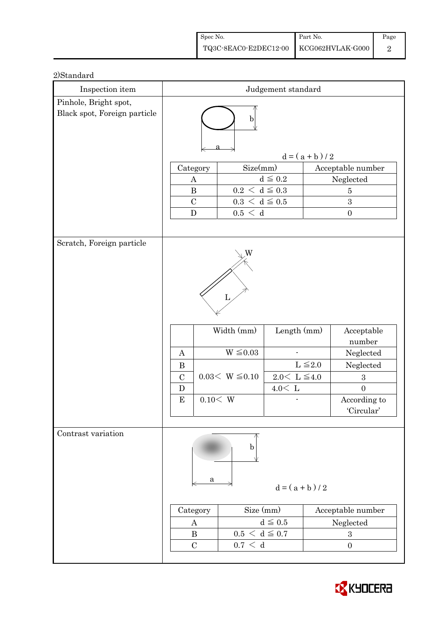| Spec No.                                                                 | Part No. | Page |
|--------------------------------------------------------------------------|----------|------|
| $\left. \text{TQ3C-8EACO-E2DEC12-00}\ \right  \ \text{KCG062HVLAK-G000}$ |          |      |

| Inspection item              | Judgement standard                      |          |                                                        |                           |                   |                               |
|------------------------------|-----------------------------------------|----------|--------------------------------------------------------|---------------------------|-------------------|-------------------------------|
| Pinhole, Bright spot,        |                                         |          |                                                        |                           |                   |                               |
| Black spot, Foreign particle |                                         |          | $\mathbf b$                                            |                           |                   |                               |
|                              |                                         |          |                                                        |                           |                   |                               |
|                              |                                         |          |                                                        |                           | $d = (a + b) / 2$ |                               |
|                              | Category                                |          | Size(mm)                                               |                           |                   | Acceptable number             |
|                              | $\boldsymbol{A}$                        |          |                                                        | $d\leqq0.2$               | Neglected         |                               |
|                              | $\, {\bf B}$<br>$\overline{C}$          |          | $0.2\,<\,\mathrm{d}\leq0.3$<br>$0.3\,<\,\rm\,d\leq0.5$ |                           |                   | $\overline{5}$<br>3           |
|                              | ${\bf D}$                               |          | 0.5 < d                                                |                           |                   | $\boldsymbol{0}$              |
|                              |                                         |          |                                                        |                           |                   |                               |
| Scratch, Foreign particle    |                                         |          |                                                        |                           |                   |                               |
|                              |                                         |          |                                                        |                           |                   |                               |
|                              |                                         |          |                                                        |                           |                   |                               |
|                              |                                         |          |                                                        |                           |                   |                               |
|                              |                                         |          | L                                                      |                           |                   |                               |
|                              |                                         |          |                                                        |                           |                   |                               |
|                              | Width (mm)<br>Length (mm)<br>Acceptable |          |                                                        |                           |                   |                               |
|                              |                                         |          |                                                        |                           |                   | number                        |
|                              | A                                       |          | $W \leq 0.03$                                          |                           | $L \leq 2.0$      | Neglected                     |
|                              | $\bf{B}$<br>$\mathcal{C}$               |          | $0.03< W \leq 0.10$                                    | $2.0\leq\,$ L $\leq\!4.0$ |                   | Neglected<br>$\boldsymbol{3}$ |
|                              | $\mathbf D$                             |          |                                                        | $4.0\rm <\ L$             |                   | $\overline{0}$                |
|                              | ${\bf E}$                               | 0.10 < W |                                                        |                           |                   | According to                  |
|                              |                                         |          |                                                        |                           |                   | 'Circular'                    |
| Contrast variation           |                                         |          |                                                        |                           |                   |                               |
|                              |                                         |          | b                                                      |                           |                   |                               |
|                              |                                         |          |                                                        |                           |                   |                               |
|                              |                                         | a        |                                                        |                           |                   |                               |
|                              |                                         |          |                                                        | $d = (a + b)/2$           |                   |                               |
|                              | Category                                |          | Size (mm)                                              |                           |                   | Acceptable number             |
|                              | $\boldsymbol{A}$                        |          |                                                        | $d \leqq 0.5$             |                   | Neglected                     |
|                              | $\bf{B}$                                |          | $0.5\,<\,\mathrm{d}\leq0.7$                            |                           |                   | $\boldsymbol{3}$              |
|                              | $\mathcal{C}$                           |          | 0.7 < d                                                |                           |                   | $\overline{0}$                |